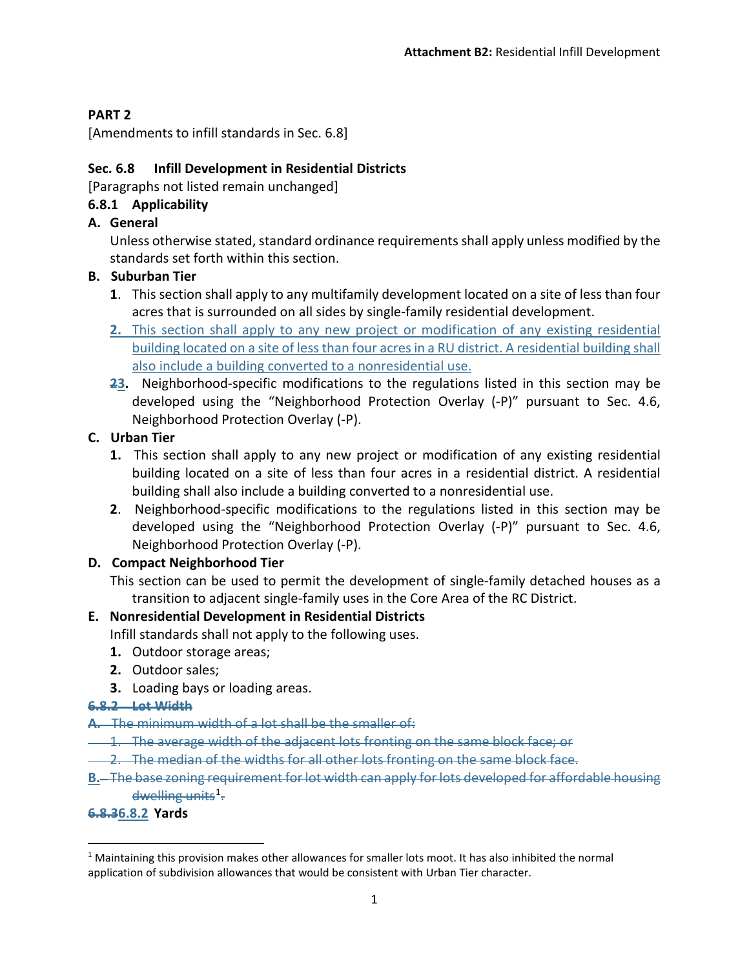#### **PART 2**

[Amendments to infill standards in Sec. 6.8]

## **Sec. 6.8 Infill Development in Residential Districts**

[Paragraphs not listed remain unchanged]

## **6.8.1 Applicability**

**A. General**

Unless otherwise stated, standard ordinance requirements shall apply unless modified by the standards set forth within this section.

#### **B. Suburban Tier**

- **1**. This section shall apply to any multifamily development located on a site of less than four acres that is surrounded on all sides by single-family residential development.
- **2.** This section shall apply to any new project or modification of any existing residential building located on a site of less than four acres in a RU district. A residential building shall also include a building converted to a nonresidential use.
- **23.** Neighborhood-specific modifications to the regulations listed in this section may be developed using the "Neighborhood Protection Overlay (-P)" pursuant to Sec. 4.6, Neighborhood Protection Overlay (-P).

## **C. Urban Tier**

- **1.** This section shall apply to any new project or modification of any existing residential building located on a site of less than four acres in a residential district. A residential building shall also include a building converted to a nonresidential use.
- **2**. Neighborhood-specific modifications to the regulations listed in this section may be developed using the "Neighborhood Protection Overlay (-P)" pursuant to Sec. 4.6, Neighborhood Protection Overlay (-P).

## **D. Compact Neighborhood Tier**

This section can be used to permit the development of single-family detached houses as a transition to adjacent single-family uses in the Core Area of the RC District.

## **E. Nonresidential Development in Residential Districts**

Infill standards shall not apply to the following uses.

- **1.** Outdoor storage areas;
- **2.** Outdoor sales;
- **3.** Loading bays or loading areas.

#### **6.8.2 Lot Width**

#### **A.** The minimum width of a lot shall be the smaller of:

- 1. The average width of the adjacent lots fronting on the same block face; or
- 2. The median of the widths for all other lots fronting on the same block face.
- **B.** The base zoning requirement for lot width can apply for lots developed for affordable housing dwelling units<sup>[1](#page-0-0)</sup>.

#### **6.8.36.8.2 Yards**

<span id="page-0-0"></span> $<sup>1</sup>$  Maintaining this provision makes other allowances for smaller lots moot. It has also inhibited the normal</sup> application of subdivision allowances that would be consistent with Urban Tier character.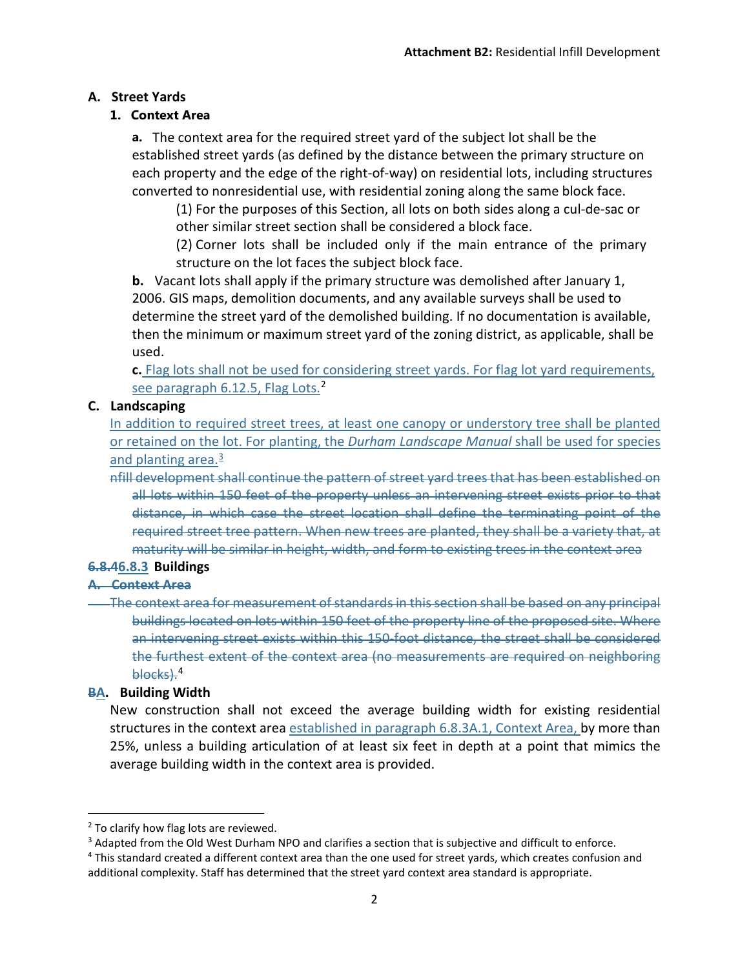#### **A. Street Yards**

#### **1. Context Area**

**a.** The context area for the required street yard of the subject lot shall be the established street yards (as defined by the distance between the primary structure on each property and the edge of the right-of-way) on residential lots, including structures converted to nonresidential use, with residential zoning along the same block face.

(1) For the purposes of this Section, all lots on both sides along a cul-de-sac or other similar street section shall be considered a block face.

(2) Corner lots shall be included only if the main entrance of the primary structure on the lot faces the subject block face.

**b.** Vacant lots shall apply if the primary structure was demolished after January 1, 2006. GIS maps, demolition documents, and any available surveys shall be used to determine the street yard of the demolished building. If no documentation is available, then the minimum or maximum street yard of the zoning district, as applicable, shall be used.

**c.** Flag lots shall not be used for considering street yards. For flag lot yard requirements, see paragraph 6.1[2](#page-1-0).5, Flag Lots.<sup>2</sup>

#### **C. Landscaping**

In addition to required street trees, at least one canopy or understory tree shall be planted or retained on the lot. For planting, the *Durham Landscape Manual* shall be used for species and planting area.<sup>[3](#page-1-1)</sup>

nfill development shall continue the pattern of street yard trees that has been established on all lots within 150 feet of the property unless an intervening street exists prior to that distance, in which case the street location shall define the terminating point of the required street tree pattern. When new trees are planted, they shall be a variety that, at maturity will be similar in height, width, and form to existing trees in the context area

## **6.8.46.8.3 Buildings**

#### **A. Context Area**

The context area for measurement of standards in this section shall be based on any principal buildings located on lots within 150 feet of the property line of the proposed site. Where an intervening street exists within this 150-foot distance, the street shall be considered the furthest extent of the context area (no measurements are required on neighboring blocks).<sup>[4](#page-1-2)</sup>

## **BA. Building Width**

New construction shall not exceed the average building width for existing residential structures in the context area established in paragraph 6.8.3A.1, Context Area, by more than 25%, unless a building articulation of at least six feet in depth at a point that mimics the average building width in the context area is provided.

<span id="page-1-0"></span><sup>&</sup>lt;sup>2</sup> To clarify how flag lots are reviewed.

<span id="page-1-1"></span><sup>&</sup>lt;sup>3</sup> Adapted from the Old West Durham NPO and clarifies a section that is subjective and difficult to enforce.

<span id="page-1-2"></span><sup>4</sup> This standard created a different context area than the one used for street yards, which creates confusion and additional complexity. Staff has determined that the street yard context area standard is appropriate.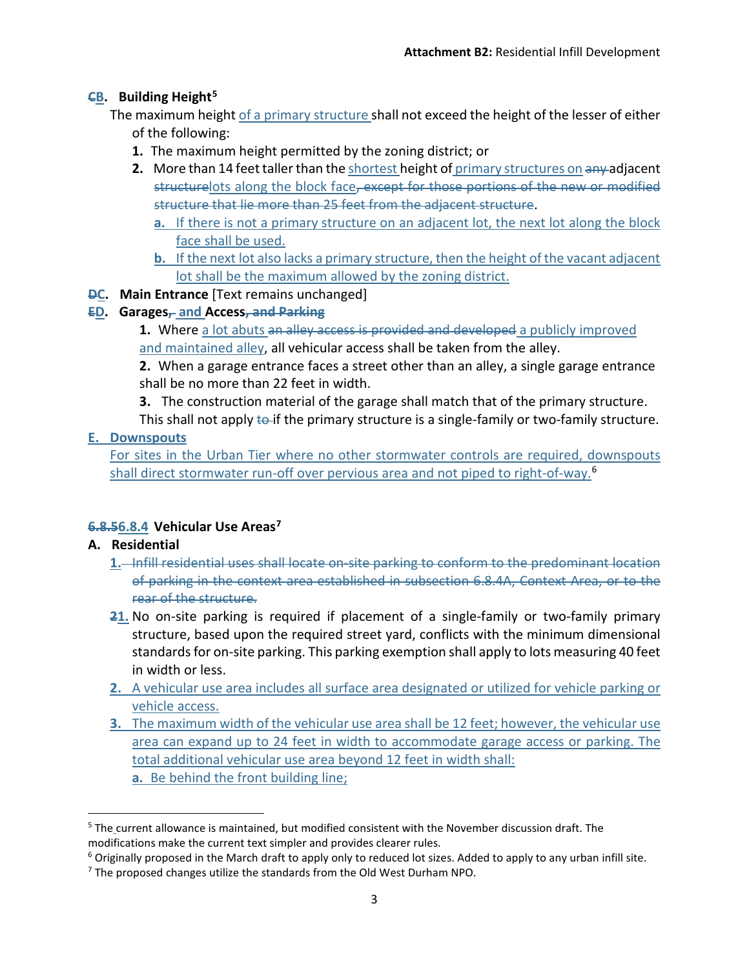#### **CB. Building Height[5](#page-2-0)**

The maximum height of a primary structure shall not exceed the height of the lesser of either of the following:

- **1.** The maximum height permitted by the zoning district; or
- **2.** More than 14 feet taller than the shortest height of primary structures on any adjacent structurelots along the block face, except for those portions of the new or modified structure that lie more than 25 feet from the adjacent structure.
	- **a.** If there is not a primary structure on an adjacent lot, the next lot along the block face shall be used.
	- **b.** If the next lot also lacks a primary structure, then the height of the vacant adjacent lot shall be the maximum allowed by the zoning district.
- **DC. Main Entrance** [Text remains unchanged]

#### **ED. Garages, and Access, and Parking**

**1.** Where a lot abuts an alley access is provided and developed a publicly improved and maintained alley, all vehicular access shall be taken from the alley.

**2.** When a garage entrance faces a street other than an alley, a single garage entrance shall be no more than 22 feet in width.

**3.** The construction material of the garage shall match that of the primary structure.

This shall not apply  $\leftarrow$  if the primary structure is a single-family or two-family structure. **E. Downspouts**

For sites in the Urban Tier where no other stormwater controls are required, downspouts shall direct stormwater run-off over pervious area and not piped to right-of-way.<sup>[6](#page-2-1)</sup>

## **6.8.56.8.4 Vehicular Use Areas[7](#page-2-2)**

#### **A. Residential**

- **1.** Infill residential uses shall locate on-site parking to conform to the predominant location of parking in the context area established in subsection 6.8.4A, Context Area, or to the rear of the structure.
- **21.** No on-site parking is required if placement of a single-family or two-family primary structure, based upon the required street yard, conflicts with the minimum dimensional standards for on-site parking. This parking exemption shall apply to lots measuring 40 feet in width or less.
- **2.** A vehicular use area includes all surface area designated or utilized for [vehicle](https://durham.municipal.codes/UDO/17.3-V__83467144e8aa33bf67ff729d1540fa81) parking or vehicle access.
- **3.** The maximum width of the vehicular use area shall be 12 feet; however, the vehicular use area can expand up to 24 feet in width to accommodate garage access or parking. The total additional vehicular use area beyond 12 feet in width shall: **a.** Be behind the front [building line;](https://durham.municipal.codes/UDO/17.3-B__b4daf3661b0f38ab5ef36b4fd542cc21)

<span id="page-2-0"></span> <sup>5</sup> The current allowance is maintained, but modified consistent with the November discussion draft. The modifications make the current text simpler and provides clearer rules.

<span id="page-2-1"></span> $6$  Originally proposed in the March draft to apply only to reduced lot sizes. Added to apply to any urban infill site.

<span id="page-2-2"></span> $<sup>7</sup>$  The proposed changes utilize the standards from the Old West Durham NPO.</sup>